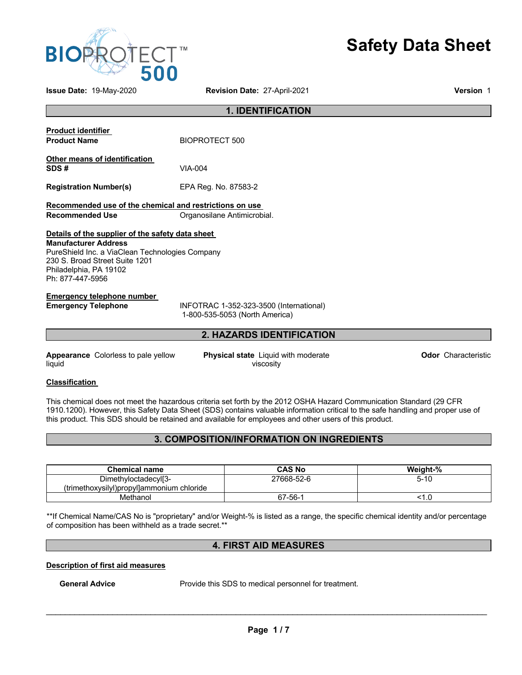

# **Safety Data Sheet**

**Issue Date:** 19-May-2020 **Revision Date:** 27-April-2021 **Version** 1

| <b>1. IDENTIFICATION</b>                                                                                                                                                                                           |                                                                           |  |
|--------------------------------------------------------------------------------------------------------------------------------------------------------------------------------------------------------------------|---------------------------------------------------------------------------|--|
| <b>Product identifier</b><br><b>Product Name</b>                                                                                                                                                                   | BIOPROTECT 500                                                            |  |
| Other means of identification<br>SDS#                                                                                                                                                                              | $VIA-004$                                                                 |  |
| <b>Registration Number(s)</b>                                                                                                                                                                                      | EPA Reg. No. 87583-2                                                      |  |
| Recommended use of the chemical and restrictions on use<br>Recommended Use                                                                                                                                         | Organosilane Antimicrobial.                                               |  |
| Details of the supplier of the safety data sheet<br><b>Manufacturer Address</b><br>PureShield Inc. a ViaClean Technologies Company<br>230 S. Broad Street Suite 1201<br>Philadelphia, PA 19102<br>Ph: 877-447-5956 |                                                                           |  |
| <b>Emergency telephone number</b><br><b>Emergency Telephone</b>                                                                                                                                                    | INFOTRAC 1-352-323-3500 (International)<br>1-800-535-5053 (North America) |  |
|                                                                                                                                                                                                                    | <b>2. HAZARDS IDENTIFICATION</b>                                          |  |
|                                                                                                                                                                                                                    |                                                                           |  |

**Appearance** Colorless to pale yellow liquid

**Physical state** Liquid with moderate viscosity

**Odor** Characteristic

#### **Classification**

This chemical does not meet the hazardous criteria set forth by the 2012 OSHA Hazard Communication Standard (29 CFR 1910.1200). However, this Safety Data Sheet (SDS) contains valuable information critical to the safe handling and proper use of this product. This SDS should be retained and available for employees and other users of this product.

# **3. COMPOSITION/INFORMATION ON INGREDIENTS**

| <b>Chemical name</b>                      | <b>CAS No</b> | Weight-% |
|-------------------------------------------|---------------|----------|
| Dimethyloctadecyl[3-                      | 27668-52-6    | 5-10     |
| (trimethoxysilyl)propyl]ammonium chloride |               |          |
| Methanol                                  | 67-56-1       | ن. ا     |

\*\*If Chemical Name/CAS No is "proprietary" and/or Weight-% is listed as a range, the specific chemical identity and/or percentage of composition has been withheld as a trade secret.\*\*

# **4. FIRST AID MEASURES**

**Description of first aid measures**

**General Advice** Provide this SDS to medical personnel for treatment.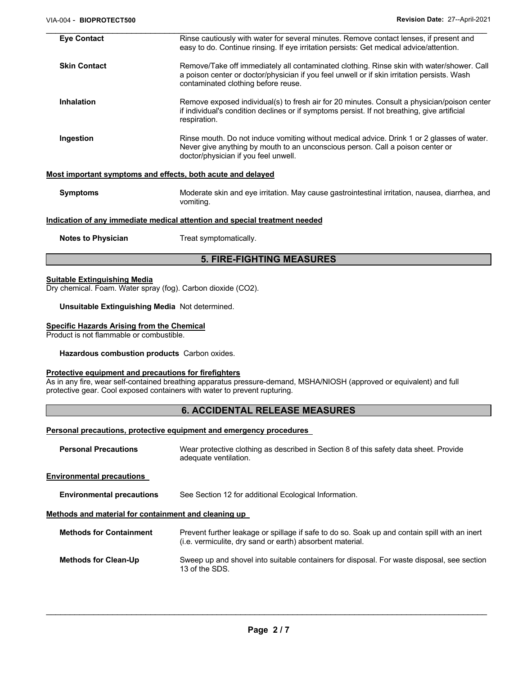| <b>Eye Contact</b>               | Rinse cautiously with water for several minutes. Remove contact lenses, if present and<br>easy to do. Continue rinsing. If eye irritation persists: Get medical advice/attention.                                               |  |  |
|----------------------------------|---------------------------------------------------------------------------------------------------------------------------------------------------------------------------------------------------------------------------------|--|--|
| <b>Skin Contact</b>              | Remove/Take off immediately all contaminated clothing. Rinse skin with water/shower. Call<br>a poison center or doctor/physician if you feel unwell or if skin irritation persists. Wash<br>contaminated clothing before reuse. |  |  |
| <b>Inhalation</b>                | Remove exposed individual(s) to fresh air for 20 minutes. Consult a physician/poison center<br>if individual's condition declines or if symptoms persist. If not breathing, give artificial<br>respiration.                     |  |  |
| Ingestion                        | Rinse mouth. Do not induce vomiting without medical advice. Drink 1 or 2 glasses of water.<br>Never give anything by mouth to an unconscious person. Call a poison center or<br>doctor/physician if you feel unwell.            |  |  |
|                                  | Most important symptoms and effects, both acute and delayed                                                                                                                                                                     |  |  |
| <b>Symptoms</b>                  | Moderate skin and eye irritation. May cause gastrointestinal irritation, nausea, diarrhea, and<br>vomiting.                                                                                                                     |  |  |
|                                  | Indication of any immediate medical attention and special treatment needed                                                                                                                                                      |  |  |
| <b>Notes to Physician</b>        | Treat symptomatically.                                                                                                                                                                                                          |  |  |
| <b>5. FIRE-FIGHTING MEASURES</b> |                                                                                                                                                                                                                                 |  |  |
|                                  |                                                                                                                                                                                                                                 |  |  |

#### **Suitable Extinguishing Media**

Dry chemical. Foam. Water spray (fog). Carbon dioxide (CO2).

**Unsuitable Extinguishing Media** Not determined.

#### **Specific Hazards Arising from the Chemical**

Product is not flammable or combustible.

**Hazardous combustion products** Carbon oxides.

#### **Protective equipment and precautions for firefighters**

As in any fire, wear self-contained breathing apparatus pressure-demand, MSHA/NIOSH (approved or equivalent) and full protective gear. Cool exposed containers with water to prevent rupturing.

# **6. ACCIDENTAL RELEASE MEASURES**

### **Personal precautions, protective equipment and emergency procedures**

| <b>Personal Precautions</b>                          | Wear protective clothing as described in Section 8 of this safety data sheet. Provide<br>adequate ventilation.                                             |  |
|------------------------------------------------------|------------------------------------------------------------------------------------------------------------------------------------------------------------|--|
| <b>Environmental precautions</b>                     |                                                                                                                                                            |  |
| <b>Environmental precautions</b>                     | See Section 12 for additional Ecological Information.                                                                                                      |  |
| Methods and material for containment and cleaning up |                                                                                                                                                            |  |
| <b>Methods for Containment</b>                       | Prevent further leakage or spillage if safe to do so. Soak up and contain spill with an inert<br>(i.e. vermiculite, dry sand or earth) absorbent material. |  |
| <b>Methods for Clean-Up</b>                          | Sweep up and shovel into suitable containers for disposal. For waste disposal, see section<br>13 of the SDS.                                               |  |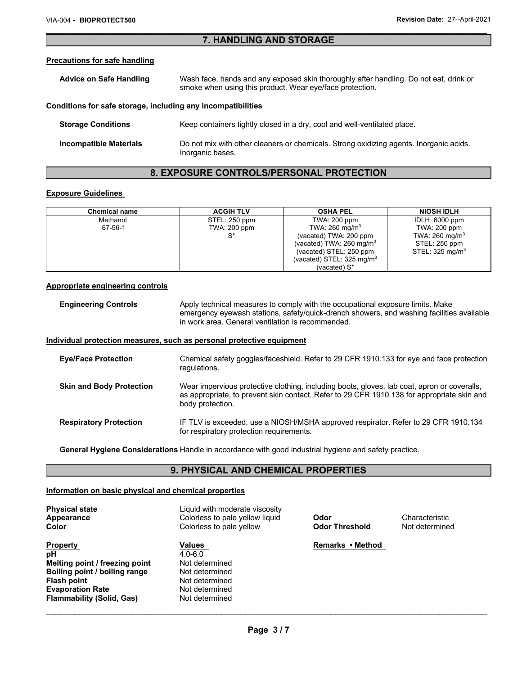# \_\_\_\_\_\_\_\_\_\_\_\_\_\_\_\_\_\_\_\_\_\_\_\_\_\_\_\_\_\_\_\_\_\_\_\_\_\_\_\_\_\_\_\_\_\_\_\_\_\_\_\_\_\_\_\_\_\_\_\_\_\_\_\_\_\_\_\_\_\_\_\_\_\_\_\_\_\_\_\_\_\_\_\_\_\_\_\_\_\_\_\_\_ **7. HANDLING AND STORAGE**

#### **Precautions for safe handling**

| <b>Advice on Safe Handling</b>                               | Wash face, hands and any exposed skin thoroughly after handling. Do not eat, drink or<br>smoke when using this product. Wear eye/face protection. |  |
|--------------------------------------------------------------|---------------------------------------------------------------------------------------------------------------------------------------------------|--|
| Conditions for safe storage, including any incompatibilities |                                                                                                                                                   |  |

| <b>Storage Conditions</b>     | Keep containers tightly closed in a dry, cool and well-ventilated place.                                   |
|-------------------------------|------------------------------------------------------------------------------------------------------------|
| <b>Incompatible Materials</b> | Do not mix with other cleaners or chemicals. Strong oxidizing agents. Inorganic acids.<br>Inorganic bases. |

# **8. EXPOSURE CONTROLS/PERSONAL PROTECTION**

# **Exposure Guidelines**

| <b>Chemical name</b> | <b>ACGIH TLV</b> | <b>OSHA PEL</b>                     | <b>NIOSH IDLH</b>          |
|----------------------|------------------|-------------------------------------|----------------------------|
| Methanol             | STEL: 250 ppm    | TWA: 200 ppm                        | IDLH: 6000 ppm             |
| 67-56-1              | TWA: 200 ppm     | TWA: $260 \text{ mg/m}^3$           | <b>TWA: 200 ppm</b>        |
|                      | c*               | (vacated) TWA: 200 ppm              | TWA: $260 \text{ mg/m}^3$  |
|                      |                  | (vacated) TWA: $260 \text{ mg/m}^3$ | STEL: 250 ppm              |
|                      |                  | (vacated) STEL: 250 ppm             | STEL: $325 \text{ mg/m}^3$ |
|                      |                  | (vacated) STEL: 325 mg/m $3$        |                            |
|                      |                  | (vacated) S*                        |                            |

#### **Appropriate engineering controls**

**Engineering Controls** Apply technical measures to comply with the occupational exposure limits. Make emergency eyewash stations, safety/quick-drench showers, and washing facilities available in work area. General ventilation is recommended.

#### **Individual protection measures, such as personal protective equipment**

| <b>Eye/Face Protection</b>      | Chemical safety goggles/faceshield. Refer to 29 CFR 1910.133 for eye and face protection<br>requlations.                                                                                                      |
|---------------------------------|---------------------------------------------------------------------------------------------------------------------------------------------------------------------------------------------------------------|
| <b>Skin and Body Protection</b> | Wear impervious protective clothing, including boots, gloves, lab coat, apron or coveralls,<br>as appropriate, to prevent skin contact. Refer to 29 CFR 1910.138 for appropriate skin and<br>body protection. |
| <b>Respiratory Protection</b>   | IF TLV is exceeded, use a NIOSH/MSHA approved respirator. Refer to 29 CFR 1910.134<br>for respiratory protection requirements.                                                                                |

**General Hygiene Considerations** Handle in accordance with good industrial hygiene and safety practice.

# **9. PHYSICAL AND CHEMICAL PROPERTIES**

#### **Information on basic physical and chemical properties**

| <b>Physical state</b><br><b>Appearance</b><br><b>Color</b> | Liquid with moderate viscosity<br>Colorless to pale yellow liquid<br>Colorless to pale yellow | Odor<br><b>Odor Threshold</b> | Characteristic<br>Not determined |
|------------------------------------------------------------|-----------------------------------------------------------------------------------------------|-------------------------------|----------------------------------|
| <b>Property</b>                                            | <b>Values</b>                                                                                 | Remarks • Method              |                                  |
| рH                                                         | $4.0 - 6.0$                                                                                   |                               |                                  |
| Melting point / freezing point                             | Not determined                                                                                |                               |                                  |
| Boiling point / boiling range                              | Not determined                                                                                |                               |                                  |
| <b>Flash point</b>                                         | Not determined                                                                                |                               |                                  |
| <b>Evaporation Rate</b>                                    | Not determined                                                                                |                               |                                  |
| <b>Flammability (Solid, Gas)</b>                           | Not determined                                                                                |                               |                                  |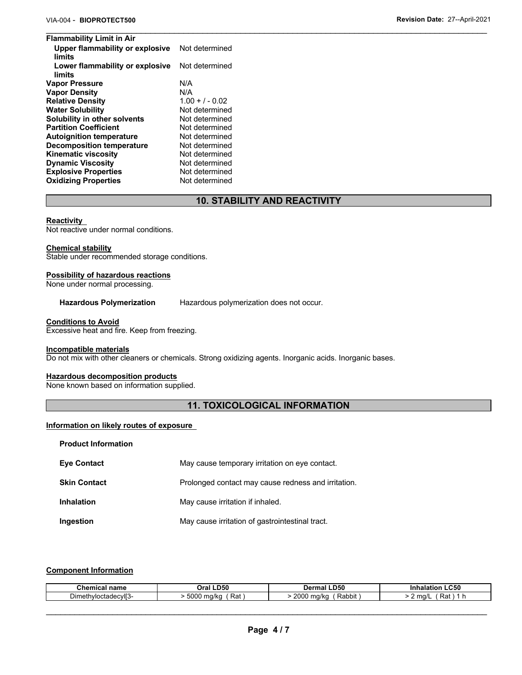| <b>Flammability Limit in Air</b>          |                   |  |
|-------------------------------------------|-------------------|--|
| Upper flammability or explosive<br>limits | Not determined    |  |
| Lower flammability or explosive<br>limits | Not determined    |  |
| <b>Vapor Pressure</b>                     | N/A               |  |
| <b>Vapor Density</b>                      | N/A               |  |
| <b>Relative Density</b>                   | $1.00 + 7 - 0.02$ |  |
| <b>Water Solubility</b>                   | Not determined    |  |
| Solubility in other solvents              | Not determined    |  |
| <b>Partition Coefficient</b>              | Not determined    |  |
| <b>Autoignition temperature</b>           | Not determined    |  |
| <b>Decomposition temperature</b>          | Not determined    |  |
| <b>Kinematic viscosity</b>                | Not determined    |  |
| <b>Dynamic Viscosity</b>                  | Not determined    |  |
| <b>Explosive Properties</b>               | Not determined    |  |
| <b>Oxidizing Properties</b>               | Not determined    |  |

# **10. STABILITY AND REACTIVITY**

#### **Reactivity**

Not reactive under normal conditions.

#### **Chemical stability**

Stable under recommended storage conditions.

#### **Possibility of hazardous reactions**

None under normal processing.

**Hazardous Polymerization** Hazardous polymerization does not occur.

#### **Conditions to Avoid**

Excessive heat and fire. Keep from freezing.

#### **Incompatible materials**

**Product Information** 

Do not mix with other cleaners or chemicals. Strong oxidizing agents. Inorganic acids. Inorganic bases.

#### **Hazardous decomposition products**

None known based on information supplied.

# **11. TOXICOLOGICAL INFORMATION**

#### **Information on likely routes of exposure**

| <b>Eye Contact</b>  | May cause temporary irritation on eye contact.      |
|---------------------|-----------------------------------------------------|
| <b>Skin Contact</b> | Prolonged contact may cause redness and irritation. |
| <b>Inhalation</b>   | May cause irritation if inhaled.                    |
| Ingestion           | May cause irritation of gastrointestinal tract.     |

#### **Component Information**

| Chemical                            | <b>LD50</b>                 | D50                                    | C50                |
|-------------------------------------|-----------------------------|----------------------------------------|--------------------|
| name                                | วral                        | Dermal                                 |                    |
| hvloctadecvll3-<br>$\sim$ .<br>חו⊔∟ | 5000<br>Rat<br>ma/kc<br>. . | -<br>2000<br>$\sim$<br>Rabbit<br>na/ka | Raı<br>ma/l<br>. . |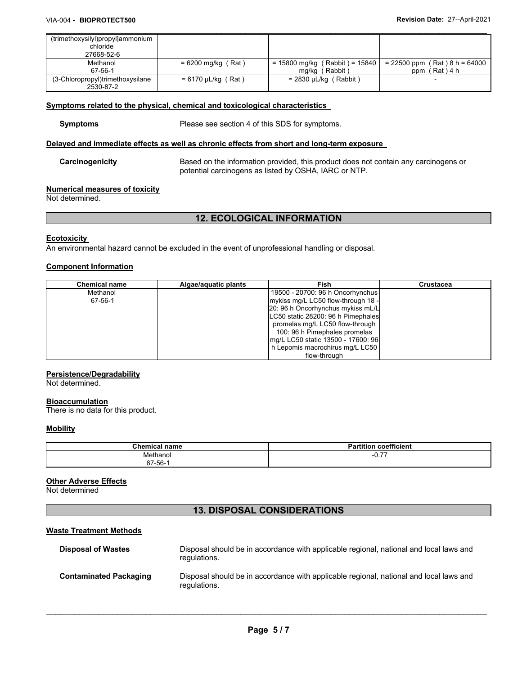| (trimethoxysilyl)propyl]ammonium |                         |                                  |                                 |
|----------------------------------|-------------------------|----------------------------------|---------------------------------|
| chloride                         |                         |                                  |                                 |
| 27668-52-6                       |                         |                                  |                                 |
| Methanol                         | $= 6200$ mg/kg (Rat)    | $= 15800$ mg/kg (Rabbit) = 15840 | $= 22500$ ppm (Rat) 8 h = 64000 |
| 67-56-1                          |                         | ' Rabbit )<br>mg/kg              | (Rat)4 h<br>ppm                 |
| (3-Chloropropyl)trimethoxysilane | $= 6170 \mu L/kg$ (Rat) | $= 2830 \mu L/kg$ (Rabbit)       |                                 |
| 2530-87-2                        |                         |                                  |                                 |

\_\_\_\_\_\_\_\_\_\_\_\_\_\_\_\_\_\_\_\_\_\_\_\_\_\_\_\_\_\_\_\_\_\_\_\_\_\_\_\_\_\_\_\_\_\_\_\_\_\_\_\_\_\_\_\_\_\_\_\_\_\_\_\_\_\_\_\_\_\_\_\_\_\_\_\_\_\_\_\_\_\_\_\_\_\_\_\_\_\_\_\_\_

# **Symptoms related to the physical, chemical and toxicological characteristics**

**Symptoms** Please see section 4 of this SDS for symptoms.

### **Delayed and immediate effects as well as chronic effects from short and long-term exposure**

**Carcinogenicity** Based on the information provided, this product does not contain any carcinogens or potential carcinogens as listed by OSHA, IARC or NTP.

#### **Numerical measures of toxicity**

Not determined.

# **12. ECOLOGICAL INFORMATION**

#### **Ecotoxicity**

An environmental hazard cannot be excluded in the event of unprofessional handling or disposal.

# **Component Information**

| <b>Chemical name</b> | Algae/aguatic plants | Fish                               | <b>Crustacea</b> |
|----------------------|----------------------|------------------------------------|------------------|
| Methanol             |                      | 19500 - 20700: 96 h Oncorhynchus   |                  |
| 67-56-1              |                      | mykiss mg/L LC50 flow-through 18 - |                  |
|                      |                      | 20: 96 h Oncorhynchus mykiss mL/L  |                  |
|                      |                      | LC50 static 28200: 96 h Pimephales |                  |
|                      |                      | promelas mg/L LC50 flow-through    |                  |
|                      |                      | 100: 96 h Pimephales promelas      |                  |
|                      |                      | mg/L LC50 static 13500 - 17600: 96 |                  |
|                      |                      | h Lepomis macrochirus mg/L LC50    |                  |
|                      |                      | flow-through                       |                  |

#### **Persistence/Degradability**

Not determined.

# **Bioaccumulation**

There is no data for this product.

#### **Mobility**

| $7$ hemical<br>name | $- - -$<br>.<br><b>coefficien</b><br>--<br>'i∩n<br>ıor |
|---------------------|--------------------------------------------------------|
| Methanol            | $- -$<br><u>ו וטי</u>                                  |
| $67 - 56 - 7$       |                                                        |

#### **Other Adverse Effects**

Not determined

# **13. DISPOSAL CONSIDERATIONS**

### **Waste Treatment Methods**

| <b>Disposal of Wastes</b>     | Disposal should be in accordance with applicable regional, national and local laws and<br>regulations. |
|-------------------------------|--------------------------------------------------------------------------------------------------------|
| <b>Contaminated Packaging</b> | Disposal should be in accordance with applicable regional, national and local laws and<br>regulations. |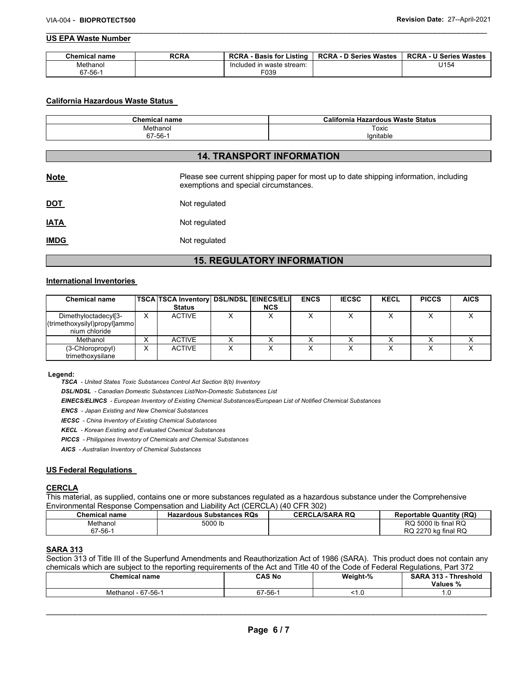#### \_\_\_\_\_\_\_\_\_\_\_\_\_\_\_\_\_\_\_\_\_\_\_\_\_\_\_\_\_\_\_\_\_\_\_\_\_\_\_\_\_\_\_\_\_\_\_\_\_\_\_\_\_\_\_\_\_\_\_\_\_\_\_\_\_\_\_\_\_\_\_\_\_\_\_\_\_\_\_\_\_\_\_\_\_\_\_\_\_\_\_\_\_ **US EPA Waste Number**

| <b>Chemical name</b> | <b>RCRA</b> | <b>RCRA</b><br><b>Basis for Listing</b> | <b>RCRA - D Series Wastes</b> | <b>RCRA - U Series Wastes</b> |
|----------------------|-------------|-----------------------------------------|-------------------------------|-------------------------------|
| Methanol             |             | Included in waste stream:               |                               | U154                          |
| $67 - 56 -$          |             | F039                                    |                               |                               |

#### **California Hazardous Waste Status**

| <b>Chemical name</b> | California Hazardous Waste Status |
|----------------------|-----------------------------------|
| Methanol             | Toxic                             |
| 67-56-1              | lanitable                         |

# **14. TRANSPORT INFORMATION**

| <b>Note</b> | Please see current shipping paper for most up to date shipping information, including<br>exemptions and special circumstances. |
|-------------|--------------------------------------------------------------------------------------------------------------------------------|
| <u>DOT</u>  | Not regulated                                                                                                                  |
| <u>IATA</u> | Not regulated                                                                                                                  |
| <u>IMDG</u> | Not regulated                                                                                                                  |

# **15. REGULATORY INFORMATION**

#### **International Inventories**

| <b>Chemical name</b>                                                  |           | <b>TSCA TSCA Inventory DSL/NDSL EINECS/ELI</b><br><b>Status</b> | <b>NCS</b> | <b>ENCS</b> | <b>IECSC</b> | <b>KECL</b> | <b>PICCS</b> | <b>AICS</b> |
|-----------------------------------------------------------------------|-----------|-----------------------------------------------------------------|------------|-------------|--------------|-------------|--------------|-------------|
| Dimethyloctadecyl[3-<br>(trimethoxysilyl)propyl]ammo<br>nium chloride | x         | <b>ACTIVE</b>                                                   |            |             |              |             |              |             |
| Methanol                                                              |           | <b>ACTIVE</b>                                                   |            |             |              |             |              |             |
| (3-Chloropropyl)<br>trimethoxysilane                                  | $\sqrt{}$ | <b>ACTIVE</b>                                                   |            |             |              |             |              |             |

#### **Legend:**

*TSCA - United States Toxic Substances Control Act Section 8(b) Inventory* 

*DSL/NDSL - Canadian Domestic Substances List/Non-Domestic Substances List* 

*EINECS/ELINCS - European Inventory of Existing Chemical Substances/European List of Notified Chemical Substances* 

*ENCS - Japan Existing and New Chemical Substances* 

*IECSC - China Inventory of Existing Chemical Substances* 

*KECL - Korean Existing and Evaluated Chemical Substances* 

*PICCS - Philippines Inventory of Chemicals and Chemical Substances* 

*AICS - Australian Inventory of Chemical Substances* 

#### **US Federal Regulations**

#### **CERCLA**

This material, as supplied, contains one or more substances regulated as a hazardous substance under the Comprehensive Environmental Response Compensation and Liability Act (CERCLA) (40 CFR 302)

| Chemical name | <b>Hazardous Substances RQs</b> | <b>CERCLA/SARA RQ</b> | <b>Reportable Quantity (RQ)</b> |
|---------------|---------------------------------|-----------------------|---------------------------------|
| Methanol      | 5000 lb                         |                       | RQ 5000 lb final RQ             |
| $67 - 56 - 4$ |                                 |                       | RQ 2270 kg final RQ             |

# **SARA 313**

Section 313 of Title III of the Superfund Amendments and Reauthorization Act of 1986 (SARA). This product does not contain any chemicals which are subject to the reporting requirements of the Act and Title 40 of the Code of Federal Regulations, Part 372

| <b>Chemical name</b><br>. | CAS No                      | Weight-% | <b>SARA 313</b><br>- Threshold<br>Values<br>-70 |
|---------------------------|-----------------------------|----------|-------------------------------------------------|
| Methanol - 67-56-1        | $\sim$<br><b>FO</b><br>-56- | $\cdot$  | ں.                                              |